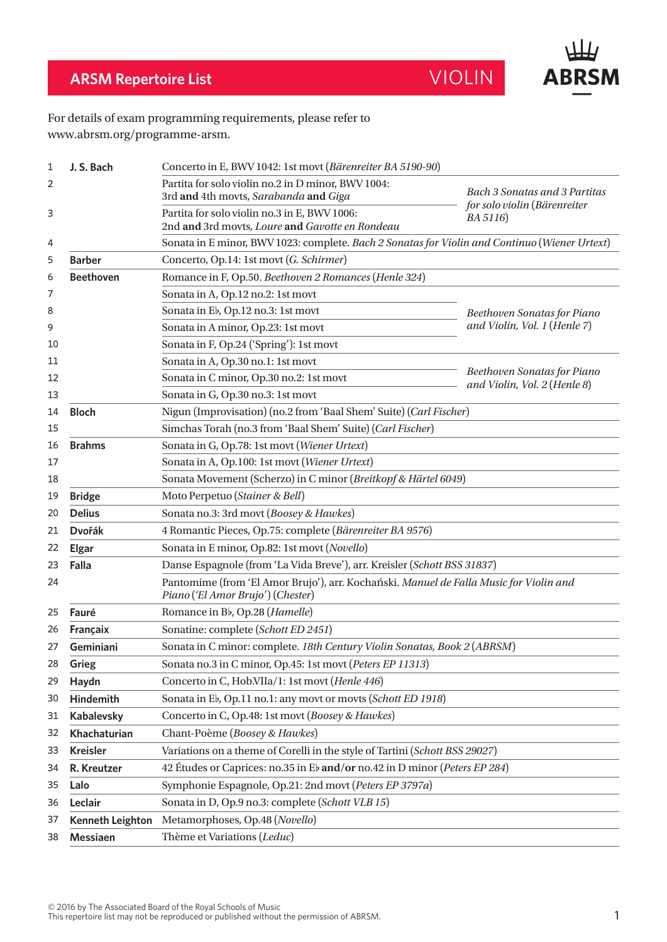



## For details of exam programming requirements, please refer to www.abrsm.org/programme-arsm.

| 1  | J. S. Bach              | Concerto in E, BWV 1042: 1st movt (Bärenreiter BA 5190-90)                                                                  |                                          |  |
|----|-------------------------|-----------------------------------------------------------------------------------------------------------------------------|------------------------------------------|--|
| 2  |                         | Partita for solo violin no.2 in D minor, BWV 1004:<br>3rd and 4th movts, Sarabanda and Giga                                 | Bach 3 Sonatas and 3 Partitas            |  |
| 3  |                         | Partita for solo violin no.3 in E, BWV 1006:<br>2nd and 3rd movts, Loure and Gavotte en Rondeau                             | for solo violin (Bärenreiter<br>BA 5116) |  |
| 4  |                         | Sonata in E minor, BWV 1023: complete. Bach 2 Sonatas for Violin and Continuo (Wiener Urtext)                               |                                          |  |
| 5  | <b>Barber</b>           | Concerto, Op.14: 1st movt (G. Schirmer)                                                                                     |                                          |  |
| 6  | <b>Beethoven</b>        | Romance in F, Op.50. Beethoven 2 Romances (Henle 324)                                                                       |                                          |  |
| 7  |                         | Sonata in A, Op.12 no.2: 1st movt                                                                                           |                                          |  |
| 8  |                         | Sonata in Eb, Op.12 no.3: 1st movt                                                                                          | Beethoven Sonatas for Piano              |  |
| 9  |                         | Sonata in A minor, Op.23: 1st movt                                                                                          | and Violin, Vol. 1 (Henle 7)             |  |
| 10 |                         | Sonata in F, Op.24 ('Spring'): 1st movt                                                                                     |                                          |  |
| 11 |                         | Sonata in A, Op.30 no.1: 1st movt                                                                                           |                                          |  |
| 12 |                         | Sonata in C minor, Op.30 no.2: 1st movt                                                                                     | Beethoven Sonatas for Piano              |  |
| 13 |                         | Sonata in G, Op.30 no.3: 1st movt                                                                                           | and Violin, Vol. 2 (Henle 8)             |  |
| 14 | <b>Bloch</b>            | Nigun (Improvisation) (no.2 from 'Baal Shem' Suite) (Carl Fischer)                                                          |                                          |  |
| 15 |                         | Simchas Torah (no.3 from 'Baal Shem' Suite) (Carl Fischer)                                                                  |                                          |  |
| 16 | <b>Brahms</b>           | Sonata in G, Op.78: 1st movt (Wiener Urtext)                                                                                |                                          |  |
| 17 |                         | Sonata in A, Op.100: 1st movt (Wiener Urtext)                                                                               |                                          |  |
| 18 |                         | Sonata Movement (Scherzo) in C minor (Breitkopf & Härtel 6049)                                                              |                                          |  |
| 19 | <b>Bridge</b>           | Moto Perpetuo (Stainer & Bell)                                                                                              |                                          |  |
| 20 | <b>Delius</b>           | Sonata no.3: 3rd movt (Boosey & Hawkes)                                                                                     |                                          |  |
| 21 | <b>Dvořák</b>           | 4 Romantic Pieces, Op.75: complete (Bärenreiter BA 9576)                                                                    |                                          |  |
| 22 | <b>Elgar</b>            | Sonata in E minor, Op.82: 1st movt (Novello)                                                                                |                                          |  |
| 23 | Falla                   | Danse Espagnole (from 'La Vida Breve'), arr. Kreisler (Schott BSS 31837)                                                    |                                          |  |
| 24 |                         | Pantomime (from 'El Amor Brujo'), arr. Kochański. Manuel de Falla Music for Violin and<br>Piano ('El Amor Brujo') (Chester) |                                          |  |
| 25 | Fauré                   | Romance in Bb, Op.28 (Hamelle)                                                                                              |                                          |  |
| 26 | Françaix                | Sonatine: complete (Schott ED 2451)                                                                                         |                                          |  |
| 27 | Geminiani               | Sonata in C minor: complete. 18th Century Violin Sonatas, Book 2 (ABRSM)                                                    |                                          |  |
| 28 | Grieg                   | Sonata no.3 in C minor, Op.45: 1st movt (Peters EP 11313)                                                                   |                                          |  |
| 29 | Haydn                   | Concerto in C, Hob.VIIa/1: 1st movt (Henle 446)                                                                             |                                          |  |
| 30 | <b>Hindemith</b>        | Sonata in E <sub>b</sub> , Op.11 no.1: any movt or movts (Schott ED 1918)                                                   |                                          |  |
| 31 | <b>Kabalevsky</b>       | Concerto in C, Op.48: 1st movt (Boosey & Hawkes)                                                                            |                                          |  |
| 32 | Khachaturian            | Chant-Poème (Boosey & Hawkes)                                                                                               |                                          |  |
| 33 | <b>Kreisler</b>         | Variations on a theme of Corelli in the style of Tartini (Schott BSS 29027)                                                 |                                          |  |
| 34 | R. Kreutzer             | 42 Études or Caprices: no.35 in Eb and/or no.42 in D minor (Peters EP 284)                                                  |                                          |  |
| 35 | Lalo                    | Symphonie Espagnole, Op.21: 2nd movt (Peters EP 3797a)                                                                      |                                          |  |
| 36 | Leclair                 | Sonata in D, Op.9 no.3: complete (Schott VLB 15)                                                                            |                                          |  |
| 37 | <b>Kenneth Leighton</b> | Metamorphoses, Op.48 (Novello)                                                                                              |                                          |  |
| 38 | Messiaen                | Thème et Variations (Leduc)                                                                                                 |                                          |  |